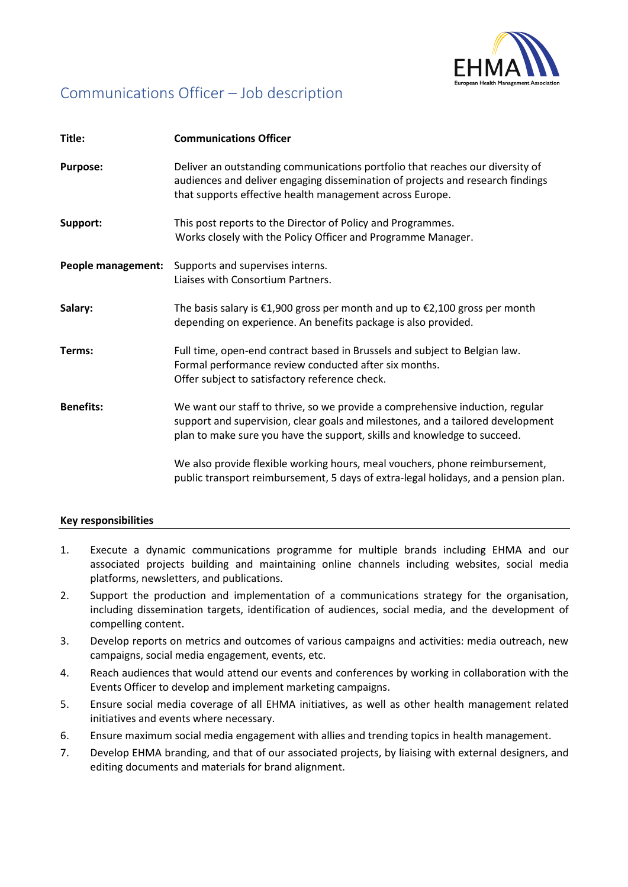

# Communications Officer – Job description

| Title:             | <b>Communications Officer</b>                                                                                                                                                                                                                |
|--------------------|----------------------------------------------------------------------------------------------------------------------------------------------------------------------------------------------------------------------------------------------|
| <b>Purpose:</b>    | Deliver an outstanding communications portfolio that reaches our diversity of<br>audiences and deliver engaging dissemination of projects and research findings<br>that supports effective health management across Europe.                  |
| Support:           | This post reports to the Director of Policy and Programmes.<br>Works closely with the Policy Officer and Programme Manager.                                                                                                                  |
| People management: | Supports and supervises interns.<br>Liaises with Consortium Partners.                                                                                                                                                                        |
| Salary:            | The basis salary is $\epsilon$ 1,900 gross per month and up to $\epsilon$ 2,100 gross per month<br>depending on experience. An benefits package is also provided.                                                                            |
| Terms:             | Full time, open-end contract based in Brussels and subject to Belgian law.<br>Formal performance review conducted after six months.<br>Offer subject to satisfactory reference check.                                                        |
| <b>Benefits:</b>   | We want our staff to thrive, so we provide a comprehensive induction, regular<br>support and supervision, clear goals and milestones, and a tailored development<br>plan to make sure you have the support, skills and knowledge to succeed. |
|                    | We also provide flexible working hours, meal vouchers, phone reimbursement,<br>public transport reimbursement, 5 days of extra-legal holidays, and a pension plan.                                                                           |

## **Key responsibilities**

- 1. Execute a dynamic communications programme for multiple brands including EHMA and our associated projects building and maintaining online channels including websites, social media platforms, newsletters, and publications.
- 2. Support the production and implementation of a communications strategy for the organisation, including dissemination targets, identification of audiences, social media, and the development of compelling content.
- 3. Develop reports on metrics and outcomes of various campaigns and activities: media outreach, new campaigns, social media engagement, events, etc.
- 4. Reach audiences that would attend our events and conferences by working in collaboration with the Events Officer to develop and implement marketing campaigns.
- 5. Ensure social media coverage of all EHMA initiatives, as well as other health management related initiatives and events where necessary.
- 6. Ensure maximum social media engagement with allies and trending topics in health management.
- 7. Develop EHMA branding, and that of our associated projects, by liaising with external designers, and editing documents and materials for brand alignment.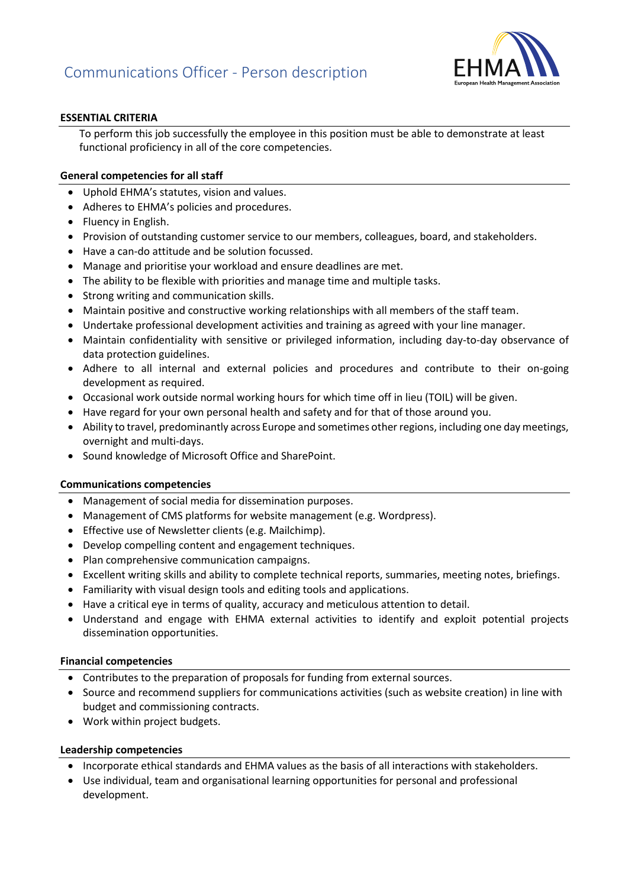

## **ESSENTIAL CRITERIA**

To perform this job successfully the employee in this position must be able to demonstrate at least functional proficiency in all of the core competencies.

## **General competencies for all staff**

- Uphold EHMA's statutes, vision and values.
- Adheres to EHMA's policies and procedures.
- Fluency in English.
- Provision of outstanding customer service to our members, colleagues, board, and stakeholders.
- Have a can-do attitude and be solution focussed.
- Manage and prioritise your workload and ensure deadlines are met.
- The ability to be flexible with priorities and manage time and multiple tasks.
- Strong writing and communication skills.
- Maintain positive and constructive working relationships with all members of the staff team.
- Undertake professional development activities and training as agreed with your line manager.
- Maintain confidentiality with sensitive or privileged information, including day-to-day observance of data protection guidelines.
- Adhere to all internal and external policies and procedures and contribute to their on-going development as required.
- Occasional work outside normal working hours for which time off in lieu (TOIL) will be given.
- Have regard for your own personal health and safety and for that of those around you.
- Ability to travel, predominantly across Europe and sometimes other regions, including one day meetings, overnight and multi-days.
- Sound knowledge of Microsoft Office and SharePoint.

### **Communications competencies**

- Management of social media for dissemination purposes.
- Management of CMS platforms for website management (e.g. Wordpress).
- Effective use of Newsletter clients (e.g. Mailchimp).
- Develop compelling content and engagement techniques.
- Plan comprehensive communication campaigns.
- Excellent writing skills and ability to complete technical reports, summaries, meeting notes, briefings.
- Familiarity with visual design tools and editing tools and applications.
- Have a critical eye in terms of quality, accuracy and meticulous attention to detail.
- Understand and engage with EHMA external activities to identify and exploit potential projects dissemination opportunities.

### **Financial competencies**

- Contributes to the preparation of proposals for funding from external sources.
- Source and recommend suppliers for communications activities (such as website creation) in line with budget and commissioning contracts.
- Work within project budgets.

## **Leadership competencies**

- Incorporate ethical standards and EHMA values as the basis of all interactions with stakeholders.
- Use individual, team and organisational learning opportunities for personal and professional development.